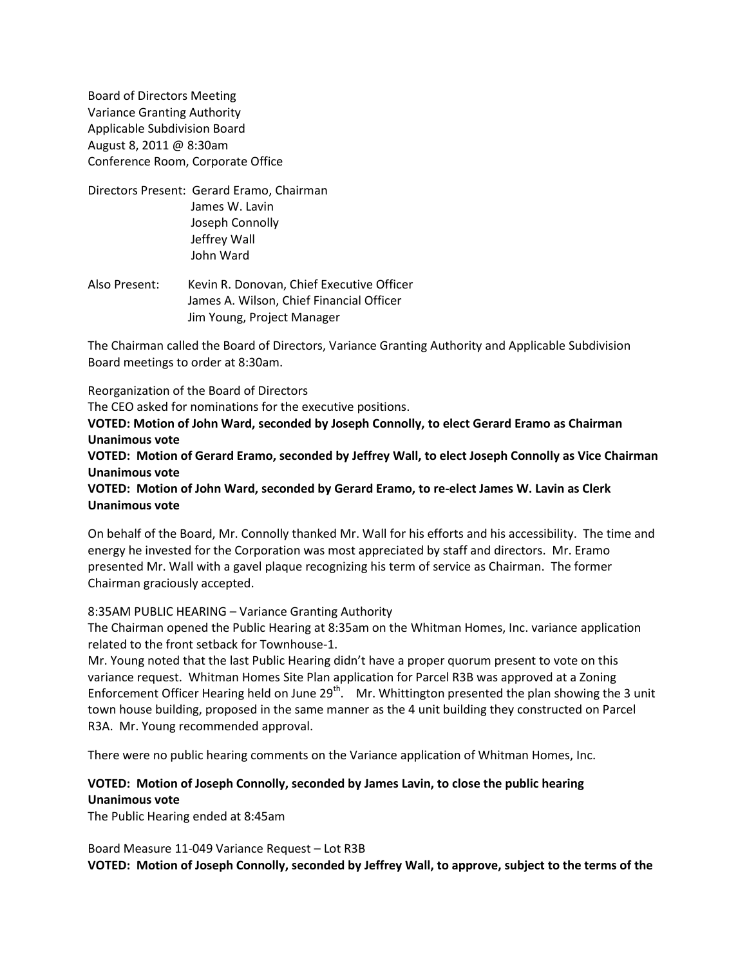Board of Directors Meeting Variance Granting Authority Applicable Subdivision Board August 8, 2011 @ 8:30am Conference Room, Corporate Office

- Directors Present: Gerard Eramo, Chairman James W. Lavin Joseph Connolly Jeffrey Wall John Ward
- Also Present: Kevin R. Donovan, Chief Executive Officer James A. Wilson, Chief Financial Officer Jim Young, Project Manager

The Chairman called the Board of Directors, Variance Granting Authority and Applicable Subdivision Board meetings to order at 8:30am.

Reorganization of the Board of Directors

The CEO asked for nominations for the executive positions.

**VOTED: Motion of John Ward, seconded by Joseph Connolly, to elect Gerard Eramo as Chairman Unanimous vote**

**VOTED: Motion of Gerard Eramo, seconded by Jeffrey Wall, to elect Joseph Connolly as Vice Chairman Unanimous vote**

**VOTED: Motion of John Ward, seconded by Gerard Eramo, to re-elect James W. Lavin as Clerk Unanimous vote**

On behalf of the Board, Mr. Connolly thanked Mr. Wall for his efforts and his accessibility. The time and energy he invested for the Corporation was most appreciated by staff and directors. Mr. Eramo presented Mr. Wall with a gavel plaque recognizing his term of service as Chairman. The former Chairman graciously accepted.

#### 8:35AM PUBLIC HEARING – Variance Granting Authority

The Chairman opened the Public Hearing at 8:35am on the Whitman Homes, Inc. variance application related to the front setback for Townhouse-1.

Mr. Young noted that the last Public Hearing didn't have a proper quorum present to vote on this variance request. Whitman Homes Site Plan application for Parcel R3B was approved at a Zoning Enforcement Officer Hearing held on June 29<sup>th</sup>. Mr. Whittington presented the plan showing the 3 unit town house building, proposed in the same manner as the 4 unit building they constructed on Parcel R3A. Mr. Young recommended approval.

There were no public hearing comments on the Variance application of Whitman Homes, Inc.

## **VOTED: Motion of Joseph Connolly, seconded by James Lavin, to close the public hearing Unanimous vote**

The Public Hearing ended at 8:45am

Board Measure 11-049 Variance Request – Lot R3B **VOTED: Motion of Joseph Connolly, seconded by Jeffrey Wall, to approve, subject to the terms of the**